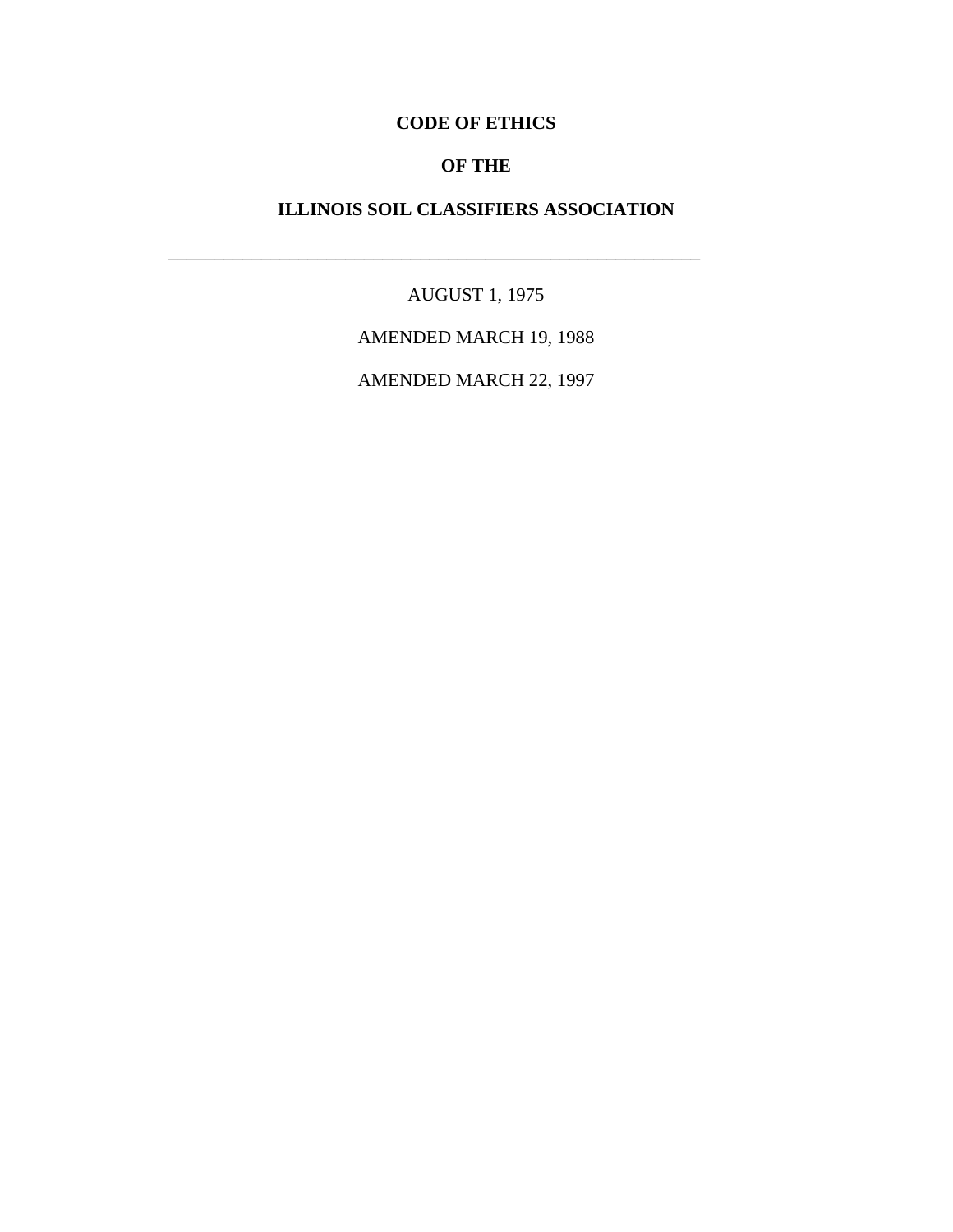# **CODE OF ETHICS**

### **OF THE**

# **ILLINOIS SOIL CLASSIFIERS ASSOCIATION**

\_\_\_\_\_\_\_\_\_\_\_\_\_\_\_\_\_\_\_\_\_\_\_\_\_\_\_\_\_\_\_\_\_\_\_\_\_\_\_\_\_\_\_\_\_\_\_\_\_\_\_\_\_\_\_\_\_

AUGUST 1, 1975

AMENDED MARCH 19, 1988

AMENDED MARCH 22, 1997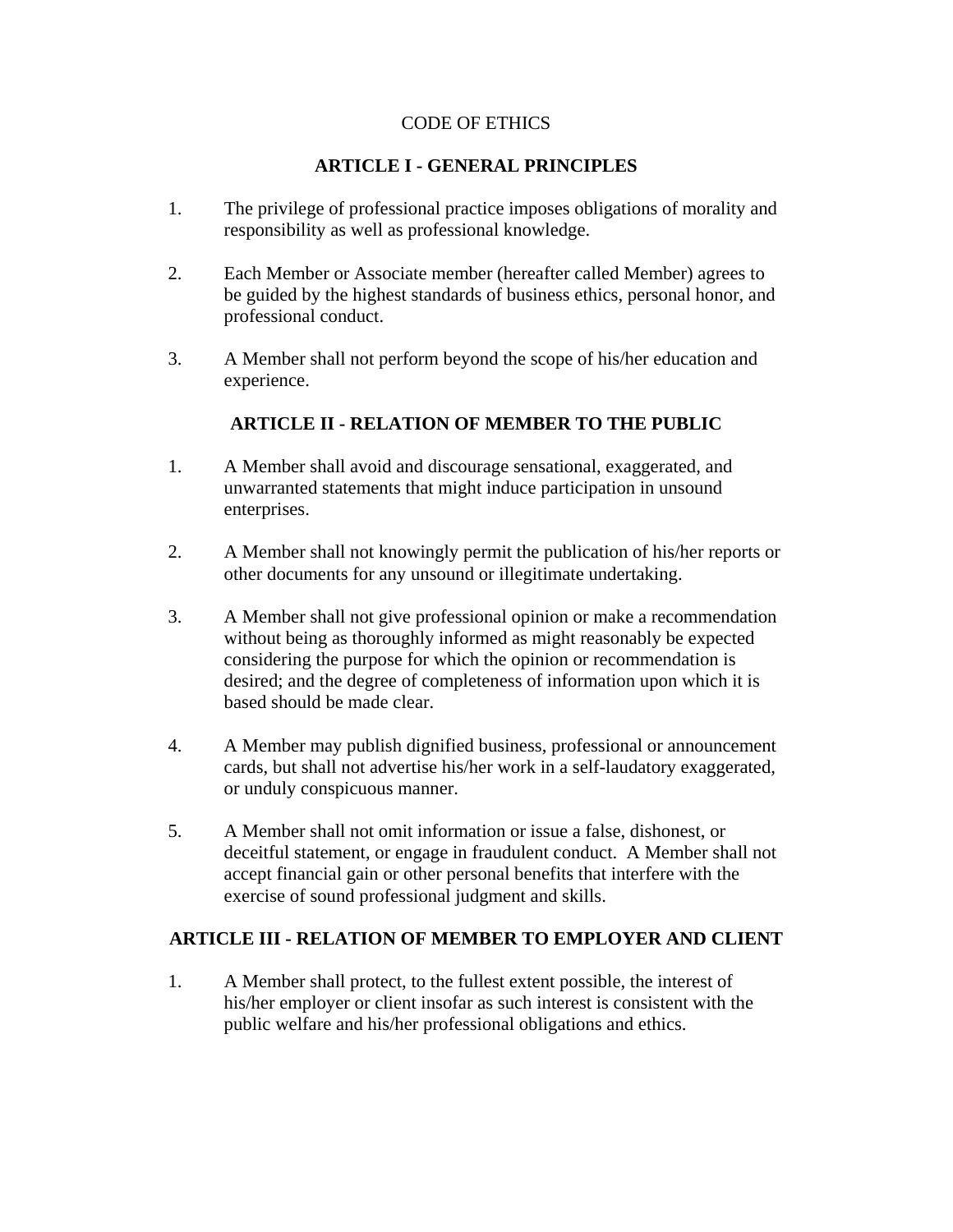# CODE OF ETHICS

# **ARTICLE I - GENERAL PRINCIPLES**

- 1. The privilege of professional practice imposes obligations of morality and responsibility as well as professional knowledge.
- 2. Each Member or Associate member (hereafter called Member) agrees to be guided by the highest standards of business ethics, personal honor, and professional conduct.
- 3. A Member shall not perform beyond the scope of his/her education and experience.

# **ARTICLE II - RELATION OF MEMBER TO THE PUBLIC**

- 1. A Member shall avoid and discourage sensational, exaggerated, and unwarranted statements that might induce participation in unsound enterprises.
- 2. A Member shall not knowingly permit the publication of his/her reports or other documents for any unsound or illegitimate undertaking.
- 3. A Member shall not give professional opinion or make a recommendation without being as thoroughly informed as might reasonably be expected considering the purpose for which the opinion or recommendation is desired; and the degree of completeness of information upon which it is based should be made clear.
- 4. A Member may publish dignified business, professional or announcement cards, but shall not advertise his/her work in a self-laudatory exaggerated, or unduly conspicuous manner.
- 5. A Member shall not omit information or issue a false, dishonest, or deceitful statement, or engage in fraudulent conduct. A Member shall not accept financial gain or other personal benefits that interfere with the exercise of sound professional judgment and skills.

#### **ARTICLE III - RELATION OF MEMBER TO EMPLOYER AND CLIENT**

1. A Member shall protect, to the fullest extent possible, the interest of his/her employer or client insofar as such interest is consistent with the public welfare and his/her professional obligations and ethics.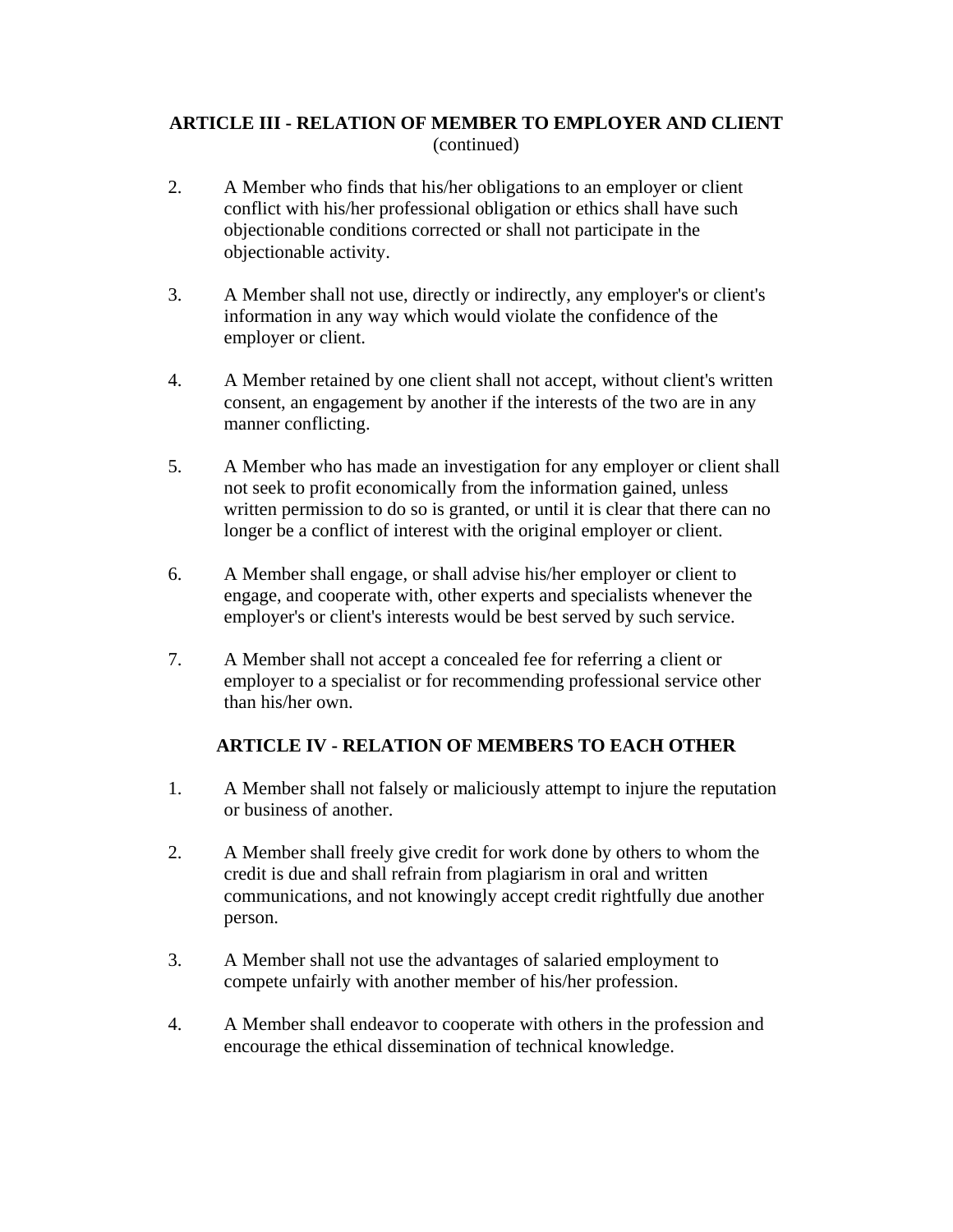# **ARTICLE III - RELATION OF MEMBER TO EMPLOYER AND CLIENT**  (continued)

- 2. A Member who finds that his/her obligations to an employer or client conflict with his/her professional obligation or ethics shall have such objectionable conditions corrected or shall not participate in the objectionable activity.
- 3. A Member shall not use, directly or indirectly, any employer's or client's information in any way which would violate the confidence of the employer or client.
- 4. A Member retained by one client shall not accept, without client's written consent, an engagement by another if the interests of the two are in any manner conflicting.
- 5. A Member who has made an investigation for any employer or client shall not seek to profit economically from the information gained, unless written permission to do so is granted, or until it is clear that there can no longer be a conflict of interest with the original employer or client.
- 6. A Member shall engage, or shall advise his/her employer or client to engage, and cooperate with, other experts and specialists whenever the employer's or client's interests would be best served by such service.
- 7. A Member shall not accept a concealed fee for referring a client or employer to a specialist or for recommending professional service other than his/her own.

# **ARTICLE IV - RELATION OF MEMBERS TO EACH OTHER**

- 1. A Member shall not falsely or maliciously attempt to injure the reputation or business of another.
- 2. A Member shall freely give credit for work done by others to whom the credit is due and shall refrain from plagiarism in oral and written communications, and not knowingly accept credit rightfully due another person.
- 3. A Member shall not use the advantages of salaried employment to compete unfairly with another member of his/her profession.
- 4. A Member shall endeavor to cooperate with others in the profession and encourage the ethical dissemination of technical knowledge.